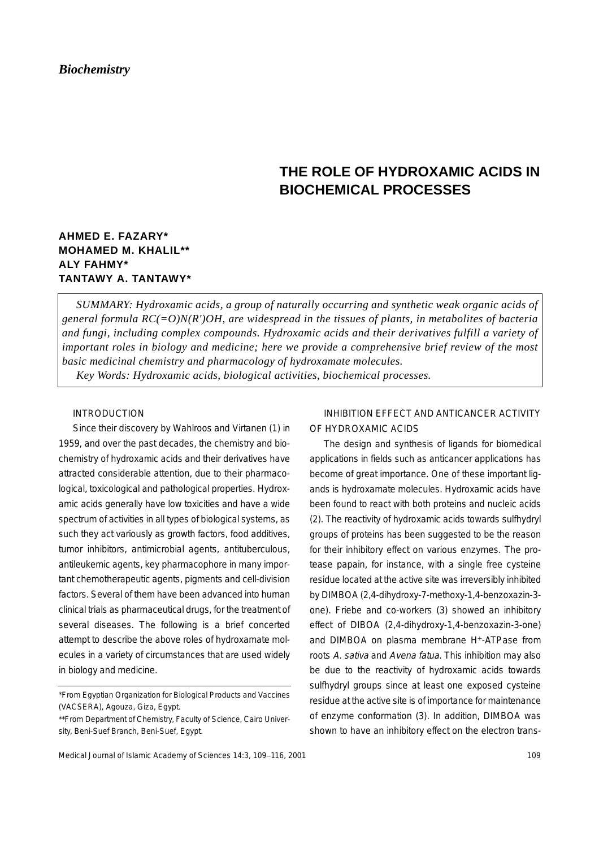## *Biochemistry*

# **THE ROLE OF HYDROXAMIC ACIDS IN BIOCHEMICAL PROCESSES**

## **AHMED E. FAZARY\* MOHAMED M. KHALIL\*\* ALY FAHMY\* TANTAWY A. TANTAWY\***

*SUMMARY: Hydroxamic acids, a group of naturally occurring and synthetic weak organic acids of general formula RC(=O)N(R')OH, are widespread in the tissues of plants, in metabolites of bacteria and fungi, including complex compounds. Hydroxamic acids and their derivatives fulfill a variety of important roles in biology and medicine; here we provide a comprehensive brief review of the most basic medicinal chemistry and pharmacology of hydroxamate molecules.*

*Key Words: Hydroxamic acids, biological activities, biochemical processes.*

## INTRODUCTION

Since their discovery by Wahlroos and Virtanen (1) in 1959, and over the past decades, the chemistry and biochemistry of hydroxamic acids and their derivatives have attracted considerable attention, due to their pharmacological, toxicological and pathological properties. Hydroxamic acids generally have low toxicities and have a wide spectrum of activities in all types of biological systems, as such they act variously as growth factors, food additives, tumor inhibitors, antimicrobial agents, antituberculous, antileukemic agents, key pharmacophore in many important chemotherapeutic agents, pigments and cell-division factors. Several of them have been advanced into human clinical trials as pharmaceutical drugs, for the treatment of several diseases. The following is a brief concerted attempt to describe the above roles of hydroxamate molecules in a variety of circumstances that are used widely in biology and medicine.

INHIBITION EFFECT AND ANTICANCER ACTIVITY OF HYDROXAMIC ACIDS

The design and synthesis of ligands for biomedical applications in fields such as anticancer applications has become of great importance. One of these important ligands is hydroxamate molecules. Hydroxamic acids have been found to react with both proteins and nucleic acids (2). The reactivity of hydroxamic acids towards sulfhydryl groups of proteins has been suggested to be the reason for their inhibitory effect on various enzymes. The protease papain, for instance, with a single free cysteine residue located at the active site was irreversibly inhibited by DIMBOA (2,4-dihydroxy-7-methoxy-1,4-benzoxazin-3 one). Friebe and co-workers (3) showed an inhibitory effect of DIBOA (2,4-dihydroxy-1,4-benzoxazin-3-one) and DIMBOA on plasma membrane H+-ATPase from roots A. sativa and Avena fatua. This inhibition may also be due to the reactivity of hydroxamic acids towards sulfhydryl groups since at least one exposed cysteine residue at the active site is of importance for maintenance of enzyme conformation (3). In addition, DIMBOA was shown to have an inhibitory effect on the electron trans-

<sup>\*</sup>From Egyptian Organization for Biological Products and Vaccines (VACSERA), Agouza, Giza, Egypt.

<sup>\*\*</sup>From Department of Chemistry, Faculty of Science, Cairo University, Beni-Suef Branch, Beni-Suef, Egypt.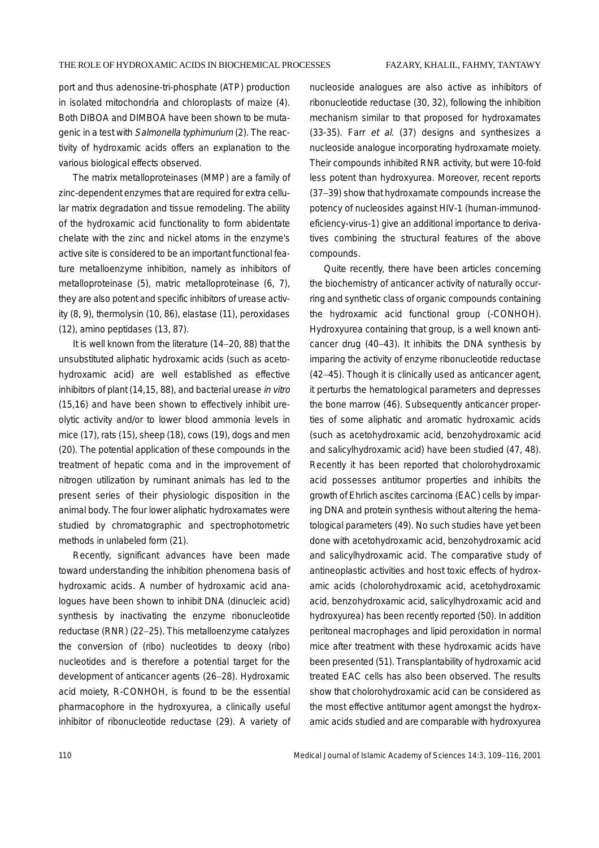port and thus adenosine-tri-phosphate (ATP) production in isolated mitochondria and chloroplasts of maize (4). Both DIBOA and DIMBOA have been shown to be mutagenic in a test with Salmonella typhimurium (2). The reactivity of hydroxamic acids offers an explanation to the various biological effects observed.

The matrix metalloproteinases (MMP) are a family of zinc-dependent enzymes that are required for extra cellular matrix degradation and tissue remodeling. The ability of the hydroxamic acid functionality to form abidentate chelate with the zinc and nickel atoms in the enzyme's active site is considered to be an important functional feature metalloenzyme inhibition, namely as inhibitors of metalloproteinase (5), matric metalloproteinase (6, 7), they are also potent and specific inhibitors of urease activity (8, 9), thermolysin (10, 86), elastase (11), peroxidases (12), amino peptidases (13, 87).

It is well known from the literature (14−20, 88) that the unsubstituted aliphatic hydroxamic acids (such as acetohydroxamic acid) are well established as effective inhibitors of plant (14,15, 88), and bacterial urease in vitro (15,16) and have been shown to effectively inhibit ureolytic activity and/or to lower blood ammonia levels in mice (17), rats (15), sheep (18), cows (19), dogs and men (20). The potential application of these compounds in the treatment of hepatic coma and in the improvement of nitrogen utilization by ruminant animals has led to the present series of their physiologic disposition in the animal body. The four lower aliphatic hydroxamates were studied by chromatographic and spectrophotometric methods in unlabeled form (21).

Recently, significant advances have been made toward understanding the inhibition phenomena basis of hydroxamic acids. A number of hydroxamic acid analogues have been shown to inhibit DNA (dinucleic acid) synthesis by inactivating the enzyme ribonucleotide reductase (RNR) (22−25). This metalloenzyme catalyzes the conversion of (ribo) nucleotides to deoxy (ribo) nucleotides and is therefore a potential target for the development of anticancer agents (26−28). Hydroxamic acid moiety, R-CONHOH, is found to be the essential pharmacophore in the hydroxyurea, a clinically useful inhibitor of ribonucleotide reductase (29). A variety of nucleoside analogues are also active as inhibitors of ribonucleotide reductase (30, 32), following the inhibition mechanism similar to that proposed for hydroxamates (33-35). Farr et al. (37) designs and synthesizes a nucleoside analogue incorporating hydroxamate moiety. Their compounds inhibited RNR activity, but were 10-fold less potent than hydroxyurea. Moreover, recent reports (37−39) show that hydroxamate compounds increase the potency of nucleosides against HIV-1 (human-immunodeficiency-virus-1) give an additional importance to derivatives combining the structural features of the above compounds.

Quite recently, there have been articles concerning the biochemistry of anticancer activity of naturally occurring and synthetic class of organic compounds containing the hydroxamic acid functional group (-CONHOH). Hydroxyurea containing that group, is a well known anticancer drug (40−43). It inhibits the DNA synthesis by imparing the activity of enzyme ribonucleotide reductase (42−45). Though it is clinically used as anticancer agent, it perturbs the hematological parameters and depresses the bone marrow (46). Subsequently anticancer properties of some aliphatic and aromatic hydroxamic acids (such as acetohydroxamic acid, benzohydroxamic acid and salicylhydroxamic acid) have been studied (47, 48). Recently it has been reported that cholorohydroxamic acid possesses antitumor properties and inhibits the growth of Ehrlich ascites carcinoma (EAC) cells by imparing DNA and protein synthesis without altering the hematological parameters (49). No such studies have yet been done with acetohydroxamic acid, benzohydroxamic acid and salicylhydroxamic acid. The comparative study of antineoplastic activities and host toxic effects of hydroxamic acids (cholorohydroxamic acid, acetohydroxamic acid, benzohydroxamic acid, salicylhydroxamic acid and hydroxyurea) has been recently reported (50). In addition peritoneal macrophages and lipid peroxidation in normal mice after treatment with these hydroxamic acids have been presented (51). Transplantability of hydroxamic acid treated EAC cells has also been observed. The results show that cholorohydroxamic acid can be considered as the most effective antitumor agent amongst the hydroxamic acids studied and are comparable with hydroxyurea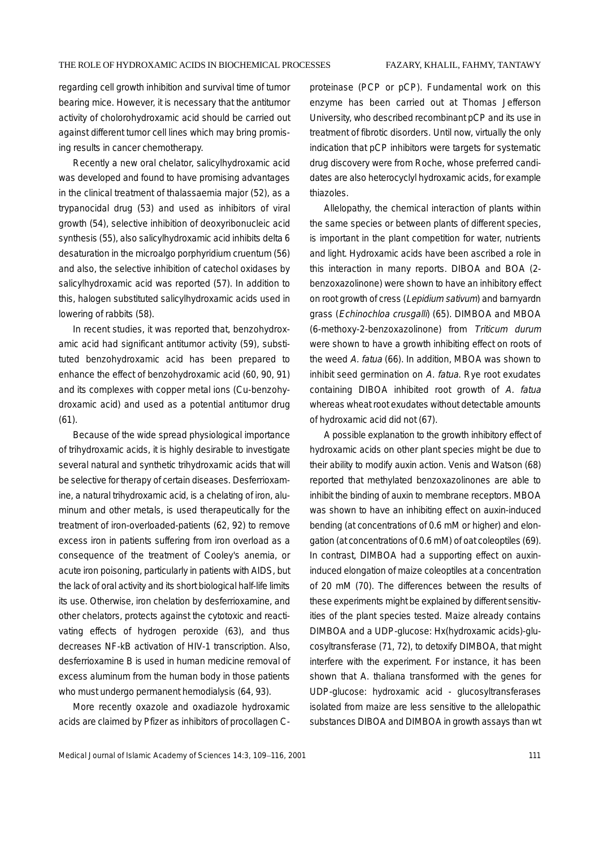regarding cell growth inhibition and survival time of tumor bearing mice. However, it is necessary that the antitumor activity of cholorohydroxamic acid should be carried out against different tumor cell lines which may bring promising results in cancer chemotherapy.

Recently a new oral chelator, salicylhydroxamic acid was developed and found to have promising advantages in the clinical treatment of thalassaemia major (52), as a trypanocidal drug (53) and used as inhibitors of viral growth (54), selective inhibition of deoxyribonucleic acid synthesis (55), also salicylhydroxamic acid inhibits delta 6 desaturation in the microalgo porphyridium cruentum (56) and also, the selective inhibition of catechol oxidases by salicylhydroxamic acid was reported (57). In addition to this, halogen substituted salicylhydroxamic acids used in lowering of rabbits (58).

In recent studies, it was reported that, benzohydroxamic acid had significant antitumor activity (59), substituted benzohydroxamic acid has been prepared to enhance the effect of benzohydroxamic acid (60, 90, 91) and its complexes with copper metal ions (Cu-benzohydroxamic acid) and used as a potential antitumor drug (61).

Because of the wide spread physiological importance of trihydroxamic acids, it is highly desirable to investigate several natural and synthetic trihydroxamic acids that will be selective for therapy of certain diseases. Desferrioxamine, a natural trihydroxamic acid, is a chelating of iron, aluminum and other metals, is used therapeutically for the treatment of iron-overloaded-patients (62, 92) to remove excess iron in patients suffering from iron overload as a consequence of the treatment of Cooley's anemia, or acute iron poisoning, particularly in patients with AIDS, but the lack of oral activity and its short biological half-life limits its use. Otherwise, iron chelation by desferrioxamine, and other chelators, protects against the cytotoxic and reactivating effects of hydrogen peroxide (63), and thus decreases NF-kB activation of HIV-1 transcription. Also, desferrioxamine B is used in human medicine removal of excess aluminum from the human body in those patients who must undergo permanent hemodialysis (64, 93).

More recently oxazole and oxadiazole hydroxamic acids are claimed by Pfizer as inhibitors of procollagen C- proteinase (PCP or pCP). Fundamental work on this enzyme has been carried out at Thomas Jefferson University, who described recombinant pCP and its use in treatment of fibrotic disorders. Until now, virtually the only indication that pCP inhibitors were targets for systematic drug discovery were from Roche, whose preferred candidates are also heterocyclyl hydroxamic acids, for example thiazoles.

Allelopathy, the chemical interaction of plants within the same species or between plants of different species, is important in the plant competition for water, nutrients and light. Hydroxamic acids have been ascribed a role in this interaction in many reports. DIBOA and BOA (2 benzoxazolinone) were shown to have an inhibitory effect on root growth of cress (Lepidium sativum) and barnyardn grass (Echinochloa crusgalli) (65). DIMBOA and MBOA (6-methoxy-2-benzoxazolinone) from Triticum durum were shown to have a growth inhibiting effect on roots of the weed A. fatua (66). In addition, MBOA was shown to inhibit seed germination on A. fatua. Rye root exudates containing DIBOA inhibited root growth of A. fatua whereas wheat root exudates without detectable amounts of hydroxamic acid did not (67).

A possible explanation to the growth inhibitory effect of hydroxamic acids on other plant species might be due to their ability to modify auxin action. Venis and Watson (68) reported that methylated benzoxazolinones are able to inhibit the binding of auxin to membrane receptors. MBOA was shown to have an inhibiting effect on auxin-induced bending (at concentrations of 0.6 mM or higher) and elongation (at concentrations of 0.6 mM) of oat coleoptiles (69). In contrast, DIMBOA had a supporting effect on auxininduced elongation of maize coleoptiles at a concentration of 20 mM (70). The differences between the results of these experiments might be explained by different sensitivities of the plant species tested. Maize already contains DIMBOA and a UDP-glucose: Hx(hydroxamic acids)-glucosyltransferase (71, 72), to detoxify DIMBOA, that might interfere with the experiment. For instance, it has been shown that A. thaliana transformed with the genes for UDP-glucose: hydroxamic acid - glucosyltransferases isolated from maize are less sensitive to the allelopathic substances DIBOA and DIMBOA in growth assays than wt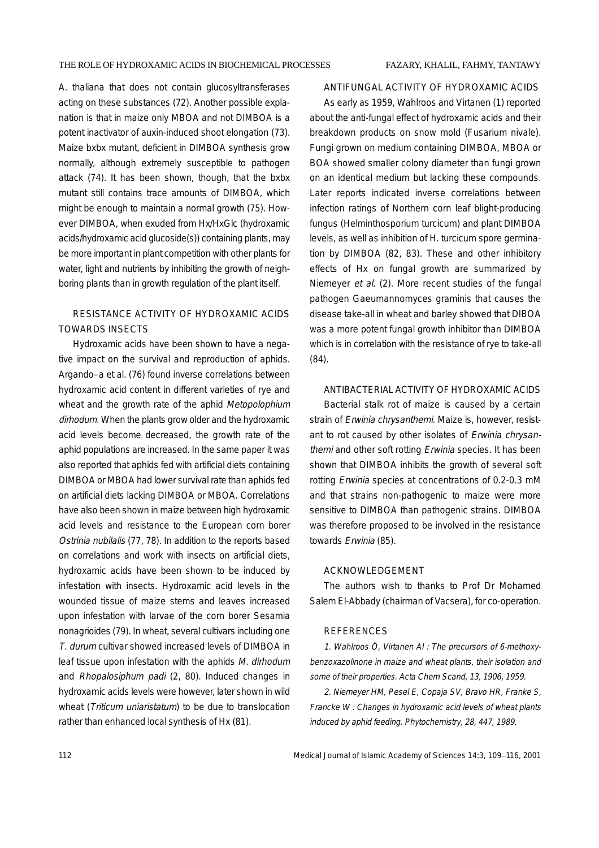A. thaliana that does not contain glucosyltransferases acting on these substances (72). Another possible explanation is that in maize only MBOA and not DIMBOA is a potent inactivator of auxin-induced shoot elongation (73). Maize bxbx mutant, deficient in DIMBOA synthesis grow normally, although extremely susceptible to pathogen attack (74). It has been shown, though, that the bxbx mutant still contains trace amounts of DIMBOA, which might be enough to maintain a normal growth (75). However DIMBOA, when exuded from Hx/HxGlc (hydroxamic acids/hydroxamic acid glucoside(s)) containing plants, may be more important in plant competition with other plants for water, light and nutrients by inhibiting the growth of neighboring plants than in growth regulation of the plant itself.

## RESISTANCE ACTIVITY OF HYDROXAMIC ACIDS TOWARDS INSECTS

Hydroxamic acids have been shown to have a negative impact on the survival and reproduction of aphids. Argando–a et al. (76) found inverse correlations between hydroxamic acid content in different varieties of rye and wheat and the growth rate of the aphid Metopolophium dirhodum. When the plants grow older and the hydroxamic acid levels become decreased, the growth rate of the aphid populations are increased. In the same paper it was also reported that aphids fed with artificial diets containing DIMBOA or MBOA had lower survival rate than aphids fed on artificial diets lacking DIMBOA or MBOA. Correlations have also been shown in maize between high hydroxamic acid levels and resistance to the European corn borer Ostrinia nubilalis (77, 78). In addition to the reports based on correlations and work with insects on artificial diets, hydroxamic acids have been shown to be induced by infestation with insects. Hydroxamic acid levels in the wounded tissue of maize stems and leaves increased upon infestation with larvae of the corn borer Sesamia nonagrioides (79). In wheat, several cultivars including one T. durum cultivar showed increased levels of DIMBOA in leaf tissue upon infestation with the aphids M. dirhodum and Rhopalosiphum padi (2, 80). Induced changes in hydroxamic acids levels were however, later shown in wild wheat (*Triticum uniaristatum*) to be due to translocation rather than enhanced local synthesis of Hx (81).

## ANTIFUNGAL ACTIVITY OF HYDROXAMIC ACIDS

As early as 1959, Wahlroos and Virtanen (1) reported about the anti-fungal effect of hydroxamic acids and their breakdown products on snow mold (Fusarium nivale). Fungi grown on medium containing DIMBOA, MBOA or BOA showed smaller colony diameter than fungi grown on an identical medium but lacking these compounds. Later reports indicated inverse correlations between infection ratings of Northern corn leaf blight-producing fungus (Helminthosporium turcicum) and plant DIMBOA levels, as well as inhibition of H. turcicum spore germination by DIMBOA (82, 83). These and other inhibitory effects of Hx on fungal growth are summarized by Niemever et al. (2). More recent studies of the fungal pathogen Gaeumannomyces graminis that causes the disease take-all in wheat and barley showed that DIBOA was a more potent fungal growth inhibitor than DIMBOA which is in correlation with the resistance of rye to take-all (84).

#### ANTIBACTERIAL ACTIVITY OF HYDROXAMIC ACIDS

Bacterial stalk rot of maize is caused by a certain strain of Erwinia chrysanthemi. Maize is, however, resistant to rot caused by other isolates of Erwinia chrysanthemi and other soft rotting Erwinia species. It has been shown that DIMBOA inhibits the growth of several soft rotting Erwinia species at concentrations of 0.2-0.3 mM and that strains non-pathogenic to maize were more sensitive to DIMBOA than pathogenic strains. DIMBOA was therefore proposed to be involved in the resistance towards Erwinia (85).

### ACKNOWLEDGEMENT

The authors wish to thanks to Prof Dr Mohamed Salem El-Abbady (chairman of Vacsera), for co-operation.

### **REFERENCES**

1. Wahlroos Ö, Virtanen AI : The precursors of 6-methoxybenzoxazolinone in maize and wheat plants, their isolation and some of their properties. Acta Chem Scand, 13, 1906, 1959.

2. Niemeyer HM, Pesel E, Copaja SV, Bravo HR, Franke S, Francke W : Changes in hydroxamic acid levels of wheat plants induced by aphid feeding. Phytochemistry, 28, 447, 1989.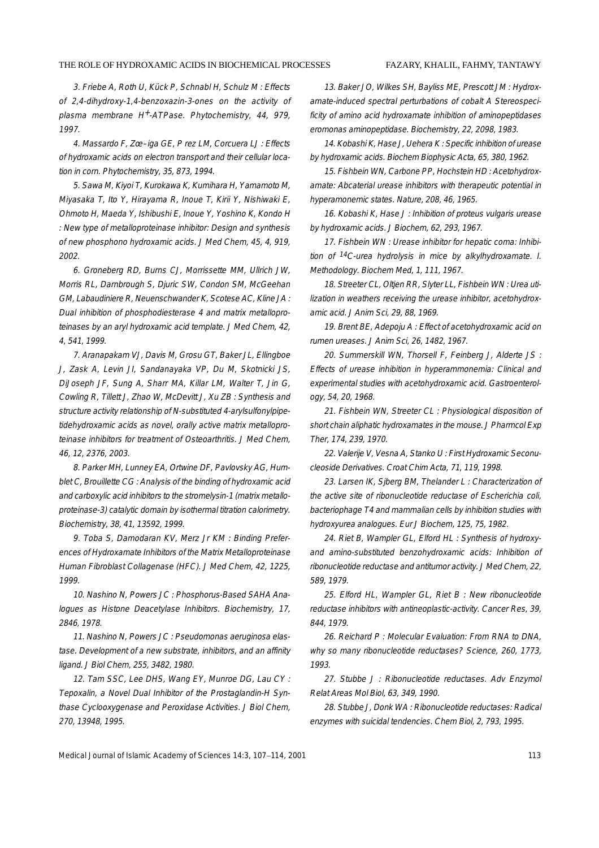### THE ROLE OF HYDROXAMIC ACIDS IN BIOCHEMICAL PROCESSES

### FAZARY, KHALIL, FAHMY, TANTAWY

3. Friebe A, Roth U, Kück P, Schnabl H, Schulz M : Effects of 2,4-dihydroxy-1,4-benzoxazin-3-ones on the activity of plasma membrane H+-ATPase. Phytochemistry, 44, 979, 1997.

4. Massardo F, Zœ–iga GE, Prez LM, Corcuera LJ : Effects of hydroxamic acids on electron transport and their cellular location in corn. Phytochemistry, 35, 873, 1994.

5. Sawa M, Kiyoi T, Kurokawa K, Kumihara H, Yamamoto M, Miyasaka T, Ito Y, Hirayama R, Inoue T, Kirii Y, Nishiwaki E, Ohmoto H, Maeda Y, Ishibushi E, Inoue Y, Yoshino K, Kondo H : New type of metalloproteinase inhibitor: Design and synthesis of new phosphono hydroxamic acids. J Med Chem, 45, 4, 919, 2002.

6. Groneberg RD, Burns CJ, Morrissette MM, Ullrich JW, Morris RL, Darnbrough S, Djuric SW, Condon SM, McGeehan GM, Labaudiniere R, Neuenschwander K, Scotese AC, Kline JA : Dual inhibition of phosphodiesterase 4 and matrix metalloproteinases by an aryl hydroxamic acid template. J Med Chem, 42, 4, 541, 1999.

7. Aranapakam VJ, Davis M, Grosu GT, Baker JL, Ellingboe J, Zask A, Levin JI, Sandanayaka VP, Du M, Skotnicki JS, DiJoseph JF, Sung A, Sharr MA, Killar LM, Walter T, Jin G, Cowling R, Tillett J, Zhao W, McDevitt J, Xu ZB : Synthesis and structure activity relationship of N-substituted 4-arylsulfonylpipetidehydroxamic acids as novel, orally active matrix metalloproteinase inhibitors for treatment of Osteoarthritis. J Med Chem, 46, 12, 2376, 2003.

8. Parker MH, Lunney EA, Ortwine DF, Pavlovsky AG, Humblet C, Brouillette CG : Analysis of the binding of hydroxamic acid and carboxylic acid inhibitors to the stromelysin-1 (matrix metalloproteinase-3) catalytic domain by isothermal titration calorimetry. Biochemistry, 38, 41, 13592, 1999.

9. Toba S, Damodaran KV, Merz Jr KM : Binding Preferences of Hydroxamate Inhibitors of the Matrix Metalloproteinase Human Fibroblast Collagenase (HFC). J Med Chem, 42, 1225, 1999.

10. Nashino N, Powers JC : Phosphorus-Based SAHA Analogues as Histone Deacetylase Inhibitors. Biochemistry, 17, 2846, 1978.

11. Nashino N, Powers JC : Pseudomonas aeruginosa elastase. Development of a new substrate, inhibitors, and an affinity ligand. J Biol Chem, 255, 3482, 1980.

12. Tam SSC, Lee DHS, Wang EY, Munroe DG, Lau CY : Tepoxalin, a Novel Dual Inhibitor of the Prostaglandin-H Synthase Cyclooxygenase and Peroxidase Activities. J Biol Chem, 270, 13948, 1995.

13. Baker JO, Wilkes SH, Bayliss ME, Prescott JM : Hydroxamate-induced spectral perturbations of cobalt A Stereospecificity of amino acid hydroxamate inhibition of aminopeptidases eromonas aminopeptidase. Biochemistry, 22, 2098, 1983.

14. Kobashi K, Hase J, Uehera K : Specific inhibition of urease by hydroxamic acids. Biochem Biophysic Acta, 65, 380, 1962.

15. Fishbein WN, Carbone PP, Hochstein HD : Acetohydroxamate: Abcaterial urease inhibitors with therapeutic potential in hyperamonemic states. Nature, 208, 46, 1965.

16. Kobashi K, Hase J : Inhibition of proteus vulgaris urease by hydroxamic acids. J Biochem, 62, 293, 1967.

17. Fishbein WN : Urease inhibitor for hepatic coma: Inhibition of <sup>14</sup>C-urea hydrolysis in mice by alkylhydroxamate. I. Methodology. Biochem Med, 1, 111, 1967.

18. Streeter CL, Oltjen RR, Slyter LL, Fishbein WN : Urea utilization in weathers receiving the urease inhibitor, acetohydroxamic acid. J Anim Sci, 29, 88, 1969.

19. Brent BE, Adepoju A : Effect of acetohydroxamic acid on rumen ureases. J Anim Sci, 26, 1482, 1967.

20. Summerskill WN, Thorsell F, Feinberg J, Alderte JS : Effects of urease inhibition in hyperammonemia: Clinical and experimental studies with acetohydroxamic acid. Gastroenterology, 54, 20, 1968.

21. Fishbein WN, Streeter CL : Physiological disposition of short chain aliphatic hydroxamates in the mouse. J Pharmcol Exp Ther, 174, 239, 1970.

22. Valerije V, Vesna A, Stanko U : First Hydroxamic Seconucleoside Derivatives. Croat Chim Acta, 71, 119, 1998.

23. Larsen IK, Sjberg BM, Thelander L : Characterization of the active site of ribonucleotide reductase of Escherichia coli, bacteriophage T4 and mammalian cells by inhibition studies with hydroxyurea analogues. Eur J Biochem, 125, 75, 1982.

24. Riet B, Wampler GL, Elford HL : Synthesis of hydroxyand amino-substituted benzohydroxamic acids: Inhibition of ribonucleotide reductase and antitumor activity. J Med Chem, 22, 589, 1979.

25. Elford HL, Wampler GL, Riet B : New ribonucleotide reductase inhibitors with antineoplastic-activity. Cancer Res, 39, 844, 1979.

26. Reichard P : Molecular Evaluation: From RNA to DNA, why so many ribonucleotide reductases? Science, 260, 1773, 1993.

27. Stubbe J : Ribonucleotide reductases. Adv Enzymol Relat Areas Mol Biol, 63, 349, 1990.

28. Stubbe J, Donk WA : Ribonucleotide reductases: Radical enzymes with suicidal tendencies. Chem Biol, 2, 793, 1995.

Medical Journal of Islamic Academy of Sciences 14:3, 107-114, 2001 113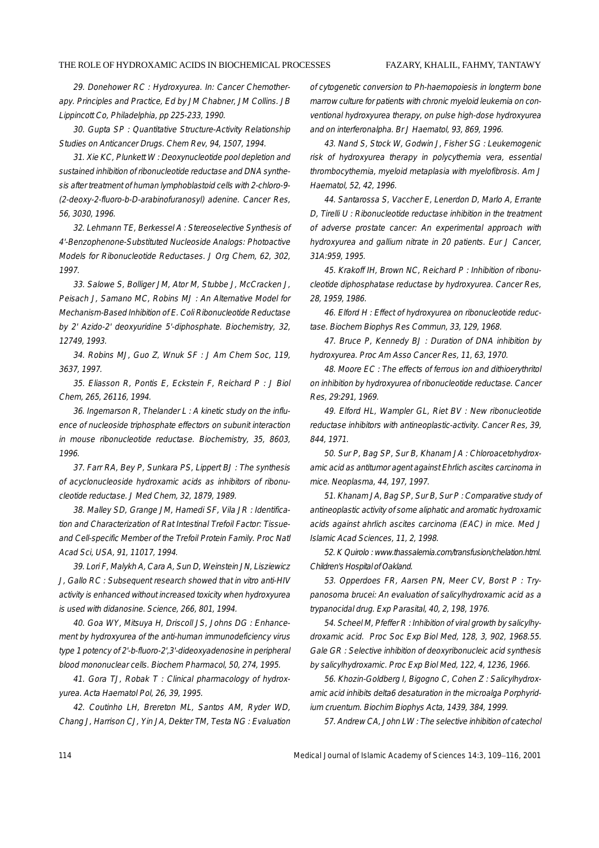#### THE ROLE OF HYDROXAMIC ACIDS IN BIOCHEMICAL PROCESSES FAZARY, KHALIL, FAHMY, TANTAWY

29. Donehower RC : Hydroxyurea. In: Cancer Chemotherapy. Principles and Practice, Ed by JM Chabner, JM Collins. JB Lippincott Co, Philadelphia, pp 225-233, 1990.

30. Gupta SP : Quantitative Structure-Activity Relationship Studies on Anticancer Drugs. Chem Rev, 94, 1507, 1994.

31. Xie KC, Plunkett W : Deoxynucleotide pool depletion and sustained inhibition of ribonucleotide reductase and DNA synthesis after treatment of human lymphoblastoid cells with 2-chloro-9- (2-deoxy-2-fluoro-b-D-arabinofuranosyl) adenine. Cancer Res, 56, 3030, 1996.

32. Lehmann TE, Berkessel A : Stereoselective Synthesis of 4'-Benzophenone-Substituted Nucleoside Analogs: Photoactive Models for Ribonucleotide Reductases. J Org Chem, 62, 302, 1997.

33. Salowe S, Bolliger JM, Ator M, Stubbe J, McCracken J, Peisach J, Samano MC, Robins MJ : An Alternative Model for Mechanism-Based Inhibition of E. Coli Ribonucleotide Reductase by 2' Azido-2' deoxyuridine 5'-diphosphate. Biochemistry, 32, 12749, 1993.

34. Robins MJ, Guo Z, Wnuk SF : J Am Chem Soc, 119, 3637, 1997.

35. Eliasson R, Pontis E, Eckstein F, Reichard P : J Biol Chem, 265, 26116, 1994.

36. Ingemarson R, Thelander L : A kinetic study on the influence of nucleoside triphosphate effectors on subunit interaction in mouse ribonucleotide reductase. Biochemistry, 35, 8603, 1996.

37. Farr RA, Bey P, Sunkara PS, Lippert BJ : The synthesis of acyclonucleoside hydroxamic acids as inhibitors of ribonucleotide reductase. J Med Chem, 32, 1879, 1989.

38. Malley SD, Grange JM, Hamedi SF, Vila JR : Identification and Characterization of Rat Intestinal Trefoil Factor: Tissueand Cell-specific Member of the Trefoil Protein Family. Proc Natl Acad Sci, USA, 91, 11017, 1994.

39. Lori F, Malykh A, Cara A, Sun D, Weinstein JN, Lisziewicz J, Gallo RC : Subsequent research showed that in vitro anti-HIV activity is enhanced without increased toxicity when hydroxyurea is used with didanosine. Science, 266, 801, 1994.

40. Goa WY, Mitsuya H, Driscoll JS, Johns DG : Enhancement by hydroxyurea of the anti-human immunodeficiency virus type 1 potency of 2'-b-fluoro-2',3'-dideoxyadenosine in peripheral blood mononuclear cells. Biochem Pharmacol, 50, 274, 1995.

41. Gora TJ, Robak T : Clinical pharmacology of hydroxyurea. Acta Haematol Pol, 26, 39, 1995.

42. Coutinho LH, Brereton ML, Santos AM, Ryder WD, Chang J, Harrison CJ, Yin JA, Dekter TM, Testa NG : Evaluation of cytogenetic conversion to Ph-haemopoiesis in longterm bone marrow culture for patients with chronic myeloid leukemia on conventional hydroxyurea therapy, on pulse high-dose hydroxyurea and on interferonalpha. Br J Haematol, 93, 869, 1996.

43. Nand S, Stock W, Godwin J, Fisher SG : Leukemogenic risk of hydroxyurea therapy in polycythemia vera, essential thrombocythemia, myeloid metaplasia with myelofibrosis. Am J Haematol, 52, 42, 1996.

44. Santarossa S, Vaccher E, Lenerdon D, Marlo A, Errante D, Tirelli U : Ribonucleotide reductase inhibition in the treatment of adverse prostate cancer: An experimental approach with hydroxyurea and gallium nitrate in 20 patients. Eur J Cancer, 31A:959, 1995.

45. Krakoff IH, Brown NC, Reichard P : Inhibition of ribonucleotide diphosphatase reductase by hydroxyurea. Cancer Res, 28, 1959, 1986.

46. Elford H : Effect of hydroxyurea on ribonucleotide reductase. Biochem Biophys Res Commun, 33, 129, 1968.

47. Bruce P, Kennedy BJ : Duration of DNA inhibition by hydroxyurea. Proc Am Asso Cancer Res, 11, 63, 1970.

48. Moore EC : The effects of ferrous ion and dithioerythritol on inhibition by hydroxyurea of ribonucleotide reductase. Cancer Res, 29:291, 1969.

49. Elford HL, Wampler GL, Riet BV : New ribonucleotide reductase inhibitors with antineoplastic-activity. Cancer Res, 39, 844, 1971.

50. Sur P, Bag SP, Sur B, Khanam JA : Chloroacetohydroxamic acid as antitumor agent against Ehrlich ascites carcinoma in mice. Neoplasma, 44, 197, 1997.

51. Khanam JA, Bag SP, Sur B, Sur P : Comparative study of antineoplastic activity of some aliphatic and aromatic hydroxamic acids against ahrlich ascites carcinoma (EAC) in mice. Med J Islamic Acad Sciences, 11, 2, 1998.

52. K Quirolo : www.thassalemia.com/transfusion/chelation.html. Children's Hospital of Oakland.

53. Opperdoes FR, Aarsen PN, Meer CV, Borst P : Trypanosoma brucei: An evaluation of salicylhydroxamic acid as a trypanocidal drug. Exp Parasital, 40, 2, 198, 1976.

54. Scheel M, Pfeffer R : Inhibition of viral growth by salicylhydroxamic acid. Proc Soc Exp Biol Med, 128, 3, 902, 1968.55. Gale GR : Selective inhibition of deoxyribonucleic acid synthesis by salicylhydroxamic. Proc Exp Biol Med, 122, 4, 1236, 1966.

56. Khozin-Goldberg I, Bigogno C, Cohen Z : Salicylhydroxamic acid inhibits delta6 desaturation in the microalga Porphyridium cruentum. Biochim Biophys Acta, 1439, 384, 1999.

57. Andrew CA, John LW : The selective inhibition of catechol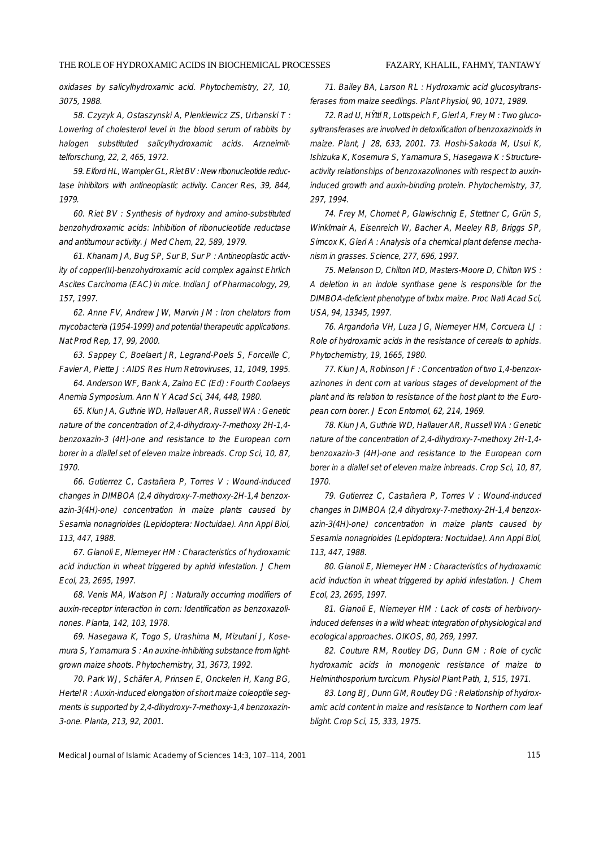### FAZARY, KHALIL, FAHMY, TANTAWY

oxidases by salicylhydroxamic acid. Phytochemistry, 27, 10, 3075, 1988.

58. Czyzyk A, Ostaszynski A, Plenkiewicz ZS, Urbanski T : Lowering of cholesterol level in the blood serum of rabbits by halogen substituted salicylhydroxamic acids. Arzneimittelforschung, 22, 2, 465, 1972.

59. Elford HL, Wampler GL, Riet BV : New ribonucleotide reductase inhibitors with antineoplastic activity. Cancer Res, 39, 844, 1979.

60. Riet BV : Synthesis of hydroxy and amino-substituted benzohydroxamic acids: Inhibition of ribonucleotide reductase and antitumour activity. J Med Chem, 22, 589, 1979.

61. Khanam JA, Bug SP, Sur B, Sur P : Antineoplastic activity of copper(II)-benzohydroxamic acid complex against Ehrlich Ascites Carcinoma (EAC) in mice. Indian J of Pharmacology, 29, 157, 1997.

62. Anne FV, Andrew JW, Marvin JM : Iron chelators from mycobacteria (1954-1999) and potential therapeutic applications. Nat Prod Rep, 17, 99, 2000.

63. Sappey C, Boelaert JR, Legrand-Poels S, Forceille C, Favier A, Piette J : AIDS Res Hum Retroviruses, 11, 1049, 1995.

64. Anderson WF, Bank A, Zaino EC (Ed) : Fourth Coolaeys Anemia Symposium. Ann N Y Acad Sci, 344, 448, 1980.

65. Klun JA, Guthrie WD, Hallauer AR, Russell WA : Genetic nature of the concentration of 2,4-dihydroxy-7-methoxy 2H-1,4 benzoxazin-3 (4H)-one and resistance to the European corn borer in a diallel set of eleven maize inbreads. Crop Sci, 10, 87, 1970.

66. Gutierrez C, Castañera P, Torres V : Wound-induced changes in DIMBOA (2,4 dihydroxy-7-methoxy-2H-1,4 benzoxazin-3(4H)-one) concentration in maize plants caused by Sesamia nonagrioides (Lepidoptera: Noctuidae). Ann Appl Biol, 113, 447, 1988.

67. Gianoli E, Niemeyer HM : Characteristics of hydroxamic acid induction in wheat triggered by aphid infestation. J Chem Ecol, 23, 2695, 1997.

68. Venis MA, Watson PJ : Naturally occurring modifiers of auxin-receptor interaction in corn: Identification as benzoxazolinones. Planta, 142, 103, 1978.

69. Hasegawa K, Togo S, Urashima M, Mizutani J, Kosemura S, Yamamura S : An auxine-inhibiting substance from lightgrown maize shoots. Phytochemistry, 31, 3673, 1992.

70. Park WJ, Schäfer A, Prinsen E, Onckelen H, Kang BG, Hertel R : Auxin-induced elongation of short maize coleoptile segments is supported by 2,4-dihydroxy-7-methoxy-1,4 benzoxazin-3-one. Planta, 213, 92, 2001.

71. Bailey BA, Larson RL : Hydroxamic acid glucosyltransferases from maize seedlings. Plant Physiol, 90, 1071, 1989.

72. Rad U, HŸttl R, Lottspeich F, Gierl A, Frey M : Two glucosyltransferases are involved in detoxification of benzoxazinoids in maize. Plant, J 28, 633, 2001. 73. Hoshi-Sakoda M, Usui K, Ishizuka K, Kosemura S, Yamamura S, Hasegawa K : Structureactivity relationships of benzoxazolinones with respect to auxininduced growth and auxin-binding protein. Phytochemistry, 37, 297, 1994.

74. Frey M, Chomet P, Glawischnig E, Stettner C, Grün S, Winklmair A, Eisenreich W, Bacher A, Meeley RB, Briggs SP, Simcox K, Gierl A : Analysis of a chemical plant defense mechanism in grasses. Science, 277, 696, 1997.

75. Melanson D, Chilton MD, Masters-Moore D, Chilton WS : A deletion in an indole synthase gene is responsible for the DIMBOA-deficient phenotype of bxbx maize. Proc Natl Acad Sci, USA, 94, 13345, 1997.

76. Argandoña VH, Luza JG, Niemeyer HM, Corcuera LJ : Role of hydroxamic acids in the resistance of cereals to aphids. Phytochemistry, 19, 1665, 1980.

77. Klun JA, Robinson JF : Concentration of two 1,4-benzoxazinones in dent corn at various stages of development of the plant and its relation to resistance of the host plant to the European corn borer. J Econ Entomol, 62, 214, 1969.

78. Klun JA, Guthrie WD, Hallauer AR, Russell WA : Genetic nature of the concentration of 2,4-dihydroxy-7-methoxy 2H-1,4 benzoxazin-3 (4H)-one and resistance to the European corn borer in a diallel set of eleven maize inbreads. Crop Sci, 10, 87, 1970.

79. Gutierrez C, Castañera P, Torres V : Wound-induced changes in DIMBOA (2,4 dihydroxy-7-methoxy-2H-1,4 benzoxazin-3(4H)-one) concentration in maize plants caused by Sesamia nonagrioides (Lepidoptera: Noctuidae). Ann Appl Biol, 113, 447, 1988.

80. Gianoli E, Niemeyer HM : Characteristics of hydroxamic acid induction in wheat triggered by aphid infestation. J Chem Ecol, 23, 2695, 1997.

81. Gianoli E, Niemeyer HM : Lack of costs of herbivoryinduced defenses in a wild wheat: integration of physiological and ecological approaches. OIKOS, 80, 269, 1997.

82. Couture RM, Routley DG, Dunn GM : Role of cyclic hydroxamic acids in monogenic resistance of maize to Helminthosporium turcicum. Physiol Plant Path, 1, 515, 1971.

83. Long BJ, Dunn GM, Routley DG : Relationship of hydroxamic acid content in maize and resistance to Northern corn leaf blight. Crop Sci, 15, 333, 1975.

Medical Journal of Islamic Academy of Sciences 14:3, 107−114, 2001 115